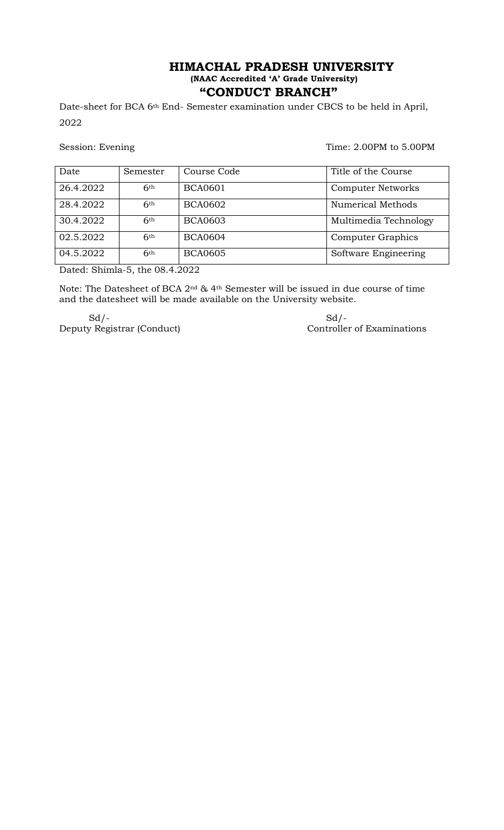## **HIMACHAL PRADESH UNIVERSITY (NAAC Accredited "A" Grade University) "CONDUCT BRANCH"**

Date-sheet for BCA 6<sup>th</sup> End- Semester examination under CBCS to be held in April, 2022

Session: Evening Time: 2.00PM to 5.00PM

| Date      | Semester   | Course Code    | Title of the Course      |
|-----------|------------|----------------|--------------------------|
| 26.4.2022 | 6th        | <b>BCA0601</b> | <b>Computer Networks</b> |
| 28.4.2022 | 6th        | <b>BCA0602</b> | <b>Numerical Methods</b> |
| 30.4.2022 | 6th        | <b>BCA0603</b> | Multimedia Technology    |
| 02.5.2022 | 6th        | <b>BCA0604</b> | Computer Graphics        |
| 04.5.2022 | <b>6th</b> | <b>BCA0605</b> | Software Engineering     |

Dated: Shimla-5, the 08.4.2022

Note: The Datesheet of BCA 2nd & 4th Semester will be issued in due course of time and the datesheet will be made available on the University website.

 $Sd$  /-  $Sd$  /-Deputy Registrar (Conduct) Controller of Examinations